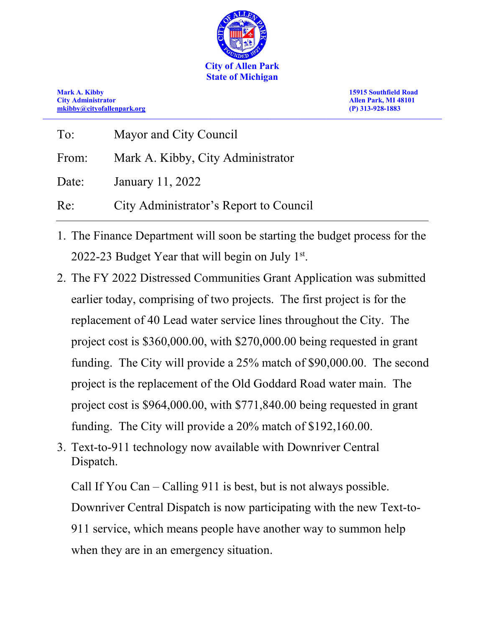

**Mark A. Kibby 15915 Southfield Road [mkibby@cityofallenpark.org](mailto:mkibby@cityofallenpark.org) (P) 313-928-1883 \_\_\_\_\_\_\_\_\_\_\_\_\_\_\_\_\_\_\_\_\_\_\_\_\_\_\_\_\_\_\_\_\_\_\_\_\_\_\_\_\_\_\_\_\_\_\_\_\_\_\_\_\_\_\_\_\_\_\_\_\_\_\_\_\_\_\_\_\_\_\_\_\_\_\_\_\_\_\_\_\_\_\_\_\_\_\_\_\_\_\_\_\_\_\_\_\_\_\_\_\_\_\_\_\_\_\_\_\_\_\_\_\_\_\_\_\_\_\_\_\_\_\_\_\_\_**

**City Administrator Allen Park, MI 48101**

| To:   | Mayor and City Council                 |
|-------|----------------------------------------|
| From: | Mark A. Kibby, City Administrator      |
| Date: | January 11, 2022                       |
| Re:   | City Administrator's Report to Council |

- 1. The Finance Department will soon be starting the budget process for the 2022-23 Budget Year that will begin on July  $1<sup>st</sup>$ .
- 2. The FY 2022 Distressed Communities Grant Application was submitted earlier today, comprising of two projects. The first project is for the replacement of 40 Lead water service lines throughout the City. The project cost is \$360,000.00, with \$270,000.00 being requested in grant funding. The City will provide a 25% match of \$90,000.00. The second project is the replacement of the Old Goddard Road water main. The project cost is \$964,000.00, with \$771,840.00 being requested in grant funding. The City will provide a 20% match of \$192,160.00.
- 3. Text-to-911 technology now available with Downriver Central Dispatch.

Call If You Can – Calling 911 is best, but is not always possible. Downriver Central Dispatch is now participating with the new Text-to-911 service, which means people have another way to summon help when they are in an emergency situation.